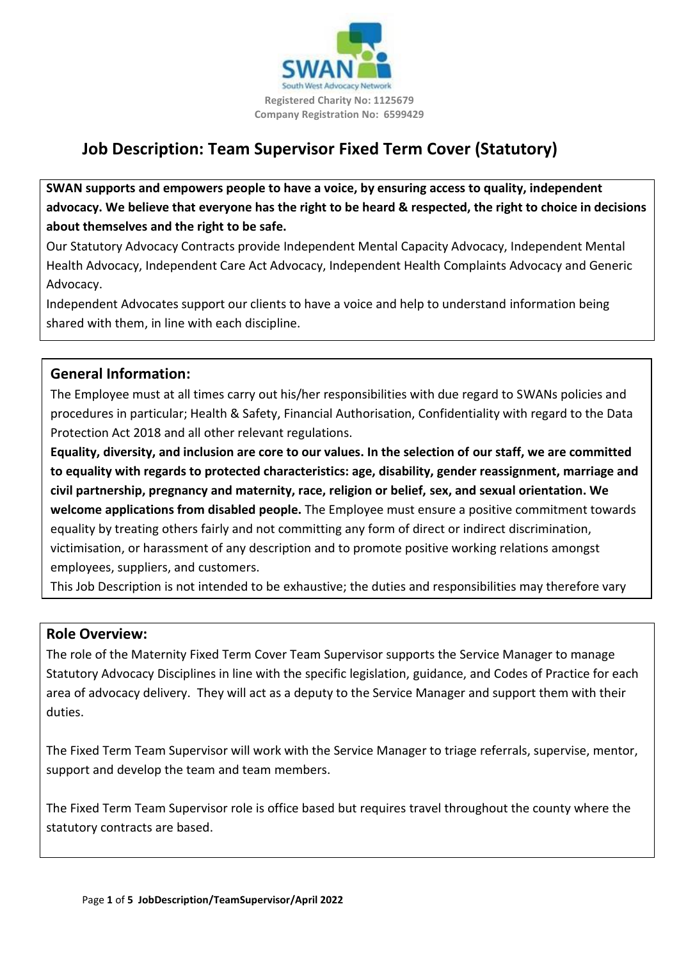

# **Job Description: Team Supervisor Fixed Term Cover (Statutory)**

**SWAN supports and empowers people to have a voice, by ensuring access to quality, independent advocacy. We believe that everyone has the right to be heard & respected, the right to choice in decisions about themselves and the right to be safe.**

Our Statutory Advocacy Contracts provide Independent Mental Capacity Advocacy, Independent Mental Health Advocacy, Independent Care Act Advocacy, Independent Health Complaints Advocacy and Generic Advocacy.

Independent Advocates support our clients to have a voice and help to understand information being shared with them, in line with each discipline.

### **General Information:**

The Employee must at all times carry out his/her responsibilities with due regard to SWANs policies and procedures in particular; Health & Safety, Financial Authorisation, Confidentiality with regard to the Data Protection Act 2018 and all other relevant regulations.

**Equality, diversity, and inclusion are core to our values. In the selection of our staff, we are committed to equality with regards to protected characteristics: age, disability, gender reassignment, marriage and civil partnership, pregnancy and maternity, race, religion or belief, sex, and sexual orientation. We welcome applications from disabled people.** The Employee must ensure a positive commitment towards equality by treating others fairly and not committing any form of direct or indirect discrimination, victimisation, or harassment of any description and to promote positive working relations amongst employees, suppliers, and customers.

This Job Description is not intended to be exhaustive; the duties and responsibilities may therefore vary

### **Role Overview:**

The role of the Maternity Fixed Term Cover Team Supervisor supports the Service Manager to manage Statutory Advocacy Disciplines in line with the specific legislation, guidance, and Codes of Practice for each area of advocacy delivery. They will act as a deputy to the Service Manager and support them with their duties.

The Fixed Term Team Supervisor will work with the Service Manager to triage referrals, supervise, mentor, support and develop the team and team members.

The Fixed Term Team Supervisor role is office based but requires travel throughout the county where the statutory contracts are based.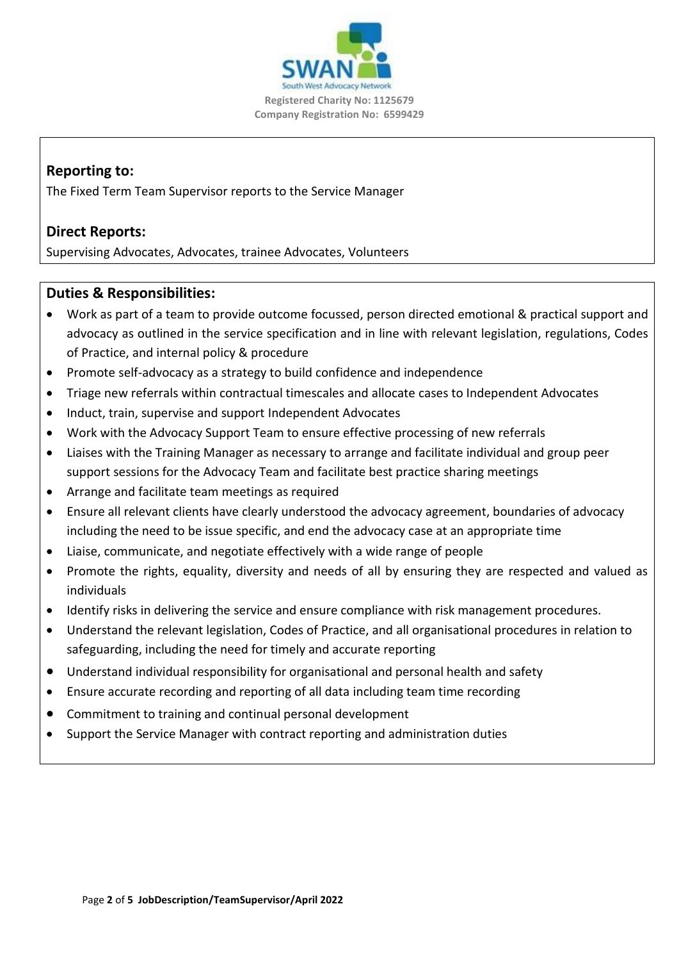

# **Reporting to:**

The Fixed Term Team Supervisor reports to the Service Manager

# **Direct Reports:**

Supervising Advocates, Advocates, trainee Advocates, Volunteers

## **Duties & Responsibilities:**

- Work as part of a team to provide outcome focussed, person directed emotional & practical support and advocacy as outlined in the service specification and in line with relevant legislation, regulations, Codes of Practice, and internal policy & procedure
- Promote self-advocacy as a strategy to build confidence and independence
- Triage new referrals within contractual timescales and allocate cases to Independent Advocates
- Induct, train, supervise and support Independent Advocates
- Work with the Advocacy Support Team to ensure effective processing of new referrals
- Liaises with the Training Manager as necessary to arrange and facilitate individual and group peer support sessions for the Advocacy Team and facilitate best practice sharing meetings
- Arrange and facilitate team meetings as required
- Ensure all relevant clients have clearly understood the advocacy agreement, boundaries of advocacy including the need to be issue specific, and end the advocacy case at an appropriate time
- Liaise, communicate, and negotiate effectively with a wide range of people
- Promote the rights, equality, diversity and needs of all by ensuring they are respected and valued as individuals
- Identify risks in delivering the service and ensure compliance with risk management procedures.
- Understand the relevant legislation, Codes of Practice, and all organisational procedures in relation to safeguarding, including the need for timely and accurate reporting
- Understand individual responsibility for organisational and personal health and safety
- Ensure accurate recording and reporting of all data including team time recording
- Commitment to training and continual personal development
- Support the Service Manager with contract reporting and administration duties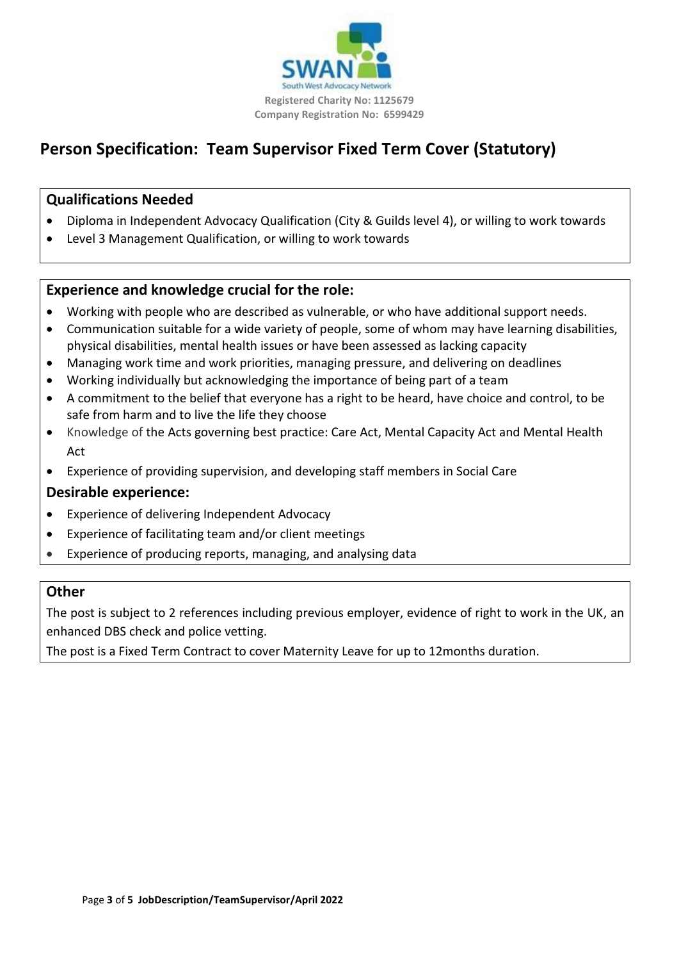

# **Person Specification: Team Supervisor Fixed Term Cover (Statutory)**

## **Qualifications Needed**

- Diploma in Independent Advocacy Qualification (City & Guilds level 4), or willing to work towards
- Level 3 Management Qualification, or willing to work towards

# **Experience and knowledge crucial for the role:**

- Working with people who are described as vulnerable, or who have additional support needs.
- Communication suitable for a wide variety of people, some of whom may have learning disabilities, physical disabilities, mental health issues or have been assessed as lacking capacity
- Managing work time and work priorities, managing pressure, and delivering on deadlines
- Working individually but acknowledging the importance of being part of a team
- A commitment to the belief that everyone has a right to be heard, have choice and control, to be safe from harm and to live the life they choose
- Knowledge of the Acts governing best practice: Care Act, Mental Capacity Act and Mental Health Act
- Experience of providing supervision, and developing staff members in Social Care

## **Desirable experience:**

- Experience of delivering Independent Advocacy
- Experience of facilitating team and/or client meetings
- Experience of producing reports, managing, and analysing data

## **Other**

The post is subject to 2 references including previous employer, evidence of right to work in the UK, an enhanced DBS check and police vetting.

The post is a Fixed Term Contract to cover Maternity Leave for up to 12months duration.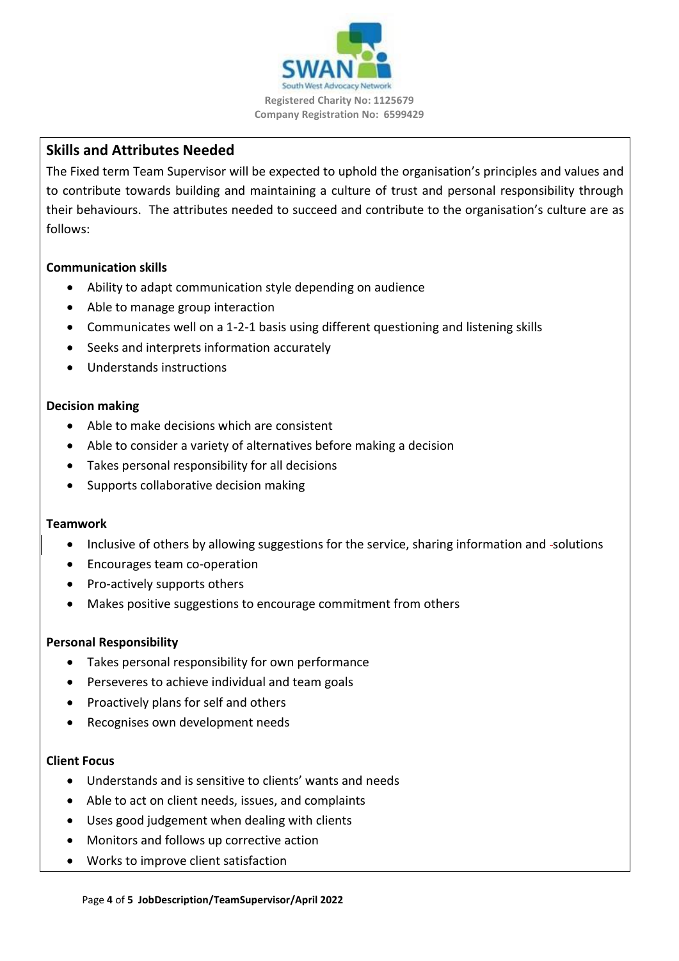

# **Skills and Attributes Needed**

The Fixed term Team Supervisor will be expected to uphold the organisation's principles and values and to contribute towards building and maintaining a culture of trust and personal responsibility through their behaviours. The attributes needed to succeed and contribute to the organisation's culture are as follows:

### **Communication skills**

- Ability to adapt communication style depending on audience
- Able to manage group interaction
- Communicates well on a 1-2-1 basis using different questioning and listening skills
- Seeks and interprets information accurately
- Understands instructions

### **Decision making**

- Able to make decisions which are consistent
- Able to consider a variety of alternatives before making a decision
- Takes personal responsibility for all decisions
- Supports collaborative decision making

#### **Teamwork**

- Inclusive of others by allowing suggestions for the service, sharing information and -solutions
- Encourages team co-operation
- Pro-actively supports others
- Makes positive suggestions to encourage commitment from others

### **Personal Responsibility**

- Takes personal responsibility for own performance
- Perseveres to achieve individual and team goals
- Proactively plans for self and others
- Recognises own development needs

#### **Client Focus**

- Understands and is sensitive to clients' wants and needs
- Able to act on client needs, issues, and complaints
- Uses good judgement when dealing with clients
- Monitors and follows up corrective action
- Works to improve client satisfaction